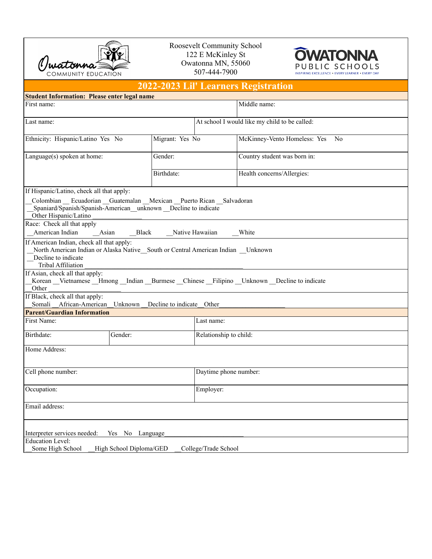

Roosevelt Community School 122 E McKinley St Owatonna MN, 55060 507-444-7900



INSPIRING EXCELLENCE . EVERY LEARNER . EVERY DAY

|                                                                                                                                                                                  |                         |                                  |                                               | <b>2022-2023 Lil' Learners Registration</b>                                         |  |  |
|----------------------------------------------------------------------------------------------------------------------------------------------------------------------------------|-------------------------|----------------------------------|-----------------------------------------------|-------------------------------------------------------------------------------------|--|--|
| <b>Student Information: Please enter legal name</b>                                                                                                                              |                         |                                  |                                               |                                                                                     |  |  |
| First name:                                                                                                                                                                      |                         |                                  |                                               | Middle name:                                                                        |  |  |
| Last name:                                                                                                                                                                       |                         |                                  | At school I would like my child to be called: |                                                                                     |  |  |
| Ethnicity: Hispanic/Latino Yes No                                                                                                                                                | Migrant: Yes No         |                                  |                                               | McKinney-Vento Homeless: Yes<br>N <sub>0</sub>                                      |  |  |
| Language(s) spoken at home:                                                                                                                                                      |                         | Gender:                          |                                               | Country student was born in:                                                        |  |  |
|                                                                                                                                                                                  |                         | Birthdate:                       |                                               | Health concerns/Allergies:                                                          |  |  |
| If Hispanic/Latino, check all that apply:                                                                                                                                        |                         |                                  |                                               |                                                                                     |  |  |
| Colombian Ecuadorian Guatemalan Mexican Puerto Rican Salvadoran<br>Spaniard/Spanish/Spanish-American_unknown _Decline to indicate<br>Other Hispanic/Latino                       |                         |                                  |                                               |                                                                                     |  |  |
| Race: Check all that apply                                                                                                                                                       |                         |                                  |                                               |                                                                                     |  |  |
| American Indian<br>Asian                                                                                                                                                         |                         | _Black __Native Hawaiian __White |                                               |                                                                                     |  |  |
| If American Indian, check all that apply:<br>North American Indian or Alaska Native South or Central American Indian Unknown<br>Decline to indicate<br><b>Tribal Affiliation</b> |                         |                                  |                                               |                                                                                     |  |  |
| If Asian, check all that apply:<br>Other                                                                                                                                         |                         |                                  |                                               | Korean Vietnamese Hmong Indian Burmese Chinese Filipino Unknown Decline to indicate |  |  |
| If Black, check all that apply:<br>Somali African-American Unknown                                                                                                               |                         | Decline to indicate Other        |                                               |                                                                                     |  |  |
| <b>Parent/Guardian Information</b>                                                                                                                                               |                         |                                  |                                               |                                                                                     |  |  |
| First Name:                                                                                                                                                                      |                         |                                  | Last name:                                    |                                                                                     |  |  |
| Birthdate:<br>Gender:                                                                                                                                                            |                         |                                  | Relationship to child:                        |                                                                                     |  |  |
| Home Address:                                                                                                                                                                    |                         |                                  |                                               |                                                                                     |  |  |
| Cell phone number:                                                                                                                                                               |                         |                                  | Daytime phone number:                         |                                                                                     |  |  |
| Occupation:                                                                                                                                                                      |                         |                                  | Employer:                                     |                                                                                     |  |  |
| Email address:                                                                                                                                                                   |                         |                                  |                                               |                                                                                     |  |  |
| Interpreter services needed:                                                                                                                                                     | Yes No Language         |                                  |                                               |                                                                                     |  |  |
| <b>Education Level:</b><br>Some High School                                                                                                                                      | High School Diploma/GED |                                  | College/Trade School                          |                                                                                     |  |  |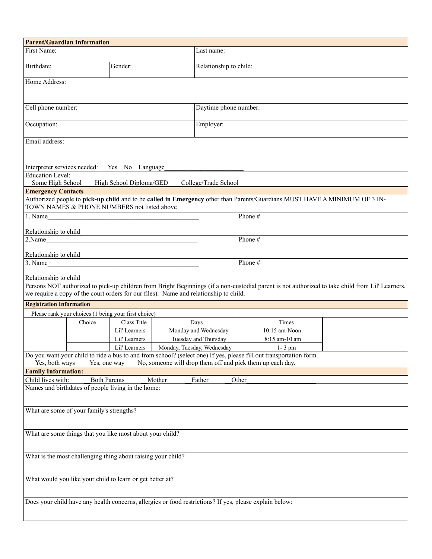| <b>Parent/Guardian Information</b>                           |                     |                                                                                       |                        |                            |                                                                                                                                                                                 |  |  |
|--------------------------------------------------------------|---------------------|---------------------------------------------------------------------------------------|------------------------|----------------------------|---------------------------------------------------------------------------------------------------------------------------------------------------------------------------------|--|--|
| First Name:                                                  |                     |                                                                                       | Last name:             |                            |                                                                                                                                                                                 |  |  |
| Birthdate:                                                   | Gender:             |                                                                                       | Relationship to child: |                            |                                                                                                                                                                                 |  |  |
| Home Address:                                                |                     |                                                                                       |                        |                            |                                                                                                                                                                                 |  |  |
| Cell phone number:                                           |                     |                                                                                       | Daytime phone number:  |                            |                                                                                                                                                                                 |  |  |
| Occupation:                                                  |                     |                                                                                       | Employer:              |                            |                                                                                                                                                                                 |  |  |
| Email address:                                               |                     |                                                                                       |                        |                            |                                                                                                                                                                                 |  |  |
| Interpreter services needed:<br><b>Education Level:</b>      |                     | Yes No Language                                                                       |                        |                            |                                                                                                                                                                                 |  |  |
| Some High School                                             |                     | High School Diploma/GED                                                               |                        | College/Trade School       |                                                                                                                                                                                 |  |  |
| <b>Emergency Contacts</b>                                    |                     |                                                                                       |                        |                            |                                                                                                                                                                                 |  |  |
|                                                              |                     | TOWN NAMES & PHONE NUMBERS not listed above                                           |                        |                            | Authorized people to pick-up child and to be called in Emergency other than Parents/Guardians MUST HAVE A MINIMUM OF 3 IN-                                                      |  |  |
| 1. Name                                                      |                     |                                                                                       |                        |                            | Phone#                                                                                                                                                                          |  |  |
| Relationship to child                                        |                     |                                                                                       |                        |                            |                                                                                                                                                                                 |  |  |
| 2. Name                                                      |                     |                                                                                       |                        |                            | Phone#                                                                                                                                                                          |  |  |
| Relationship to child                                        |                     |                                                                                       |                        |                            |                                                                                                                                                                                 |  |  |
| 3. Name $\qquad \qquad$                                      |                     |                                                                                       |                        |                            | Phone#                                                                                                                                                                          |  |  |
| Relationship to child                                        |                     |                                                                                       |                        |                            |                                                                                                                                                                                 |  |  |
|                                                              |                     | we require a copy of the court orders for our files). Name and relationship to child. |                        |                            | Persons NOT authorized to pick-up children from Bright Beginnings (if a non-custodial parent is not authorized to take child from Lil' Learners,                                |  |  |
| <b>Registration Information</b>                              |                     |                                                                                       |                        |                            |                                                                                                                                                                                 |  |  |
|                                                              |                     | Please rank your choices (1 being your first choice)                                  |                        |                            |                                                                                                                                                                                 |  |  |
|                                                              | Choice              | Class Title                                                                           |                        | Days                       | Times                                                                                                                                                                           |  |  |
|                                                              |                     | Lil' Learners                                                                         |                        | Monday and Wednesday       | 10:15 am-Noon                                                                                                                                                                   |  |  |
|                                                              |                     | Lil' Learners                                                                         |                        | Tuesday and Thursday       | 8:15 am-10 am                                                                                                                                                                   |  |  |
|                                                              |                     | Lil' Learners                                                                         |                        | Monday, Tuesday, Wednesday | $1 - 3$ pm                                                                                                                                                                      |  |  |
| Yes, both ways                                               | Yes, one way        |                                                                                       |                        |                            | Do you want your child to ride a bus to and from school? (select one) If yes, please fill out transportation form.<br>No, someone will drop them off and pick them up each day. |  |  |
| <b>Family Information:</b>                                   |                     |                                                                                       |                        |                            |                                                                                                                                                                                 |  |  |
| Child lives with:                                            | <b>Both Parents</b> |                                                                                       | Mother                 | Father                     | Other                                                                                                                                                                           |  |  |
|                                                              |                     | Names and birthdates of people living in the home:                                    |                        |                            |                                                                                                                                                                                 |  |  |
| What are some of your family's strengths?                    |                     |                                                                                       |                        |                            |                                                                                                                                                                                 |  |  |
| What are some things that you like most about your child?    |                     |                                                                                       |                        |                            |                                                                                                                                                                                 |  |  |
| What is the most challenging thing about raising your child? |                     |                                                                                       |                        |                            |                                                                                                                                                                                 |  |  |
| What would you like your child to learn or get better at?    |                     |                                                                                       |                        |                            |                                                                                                                                                                                 |  |  |
|                                                              |                     |                                                                                       |                        |                            | Does your child have any health concerns, allergies or food restrictions? If yes, please explain below:                                                                         |  |  |
|                                                              |                     |                                                                                       |                        |                            |                                                                                                                                                                                 |  |  |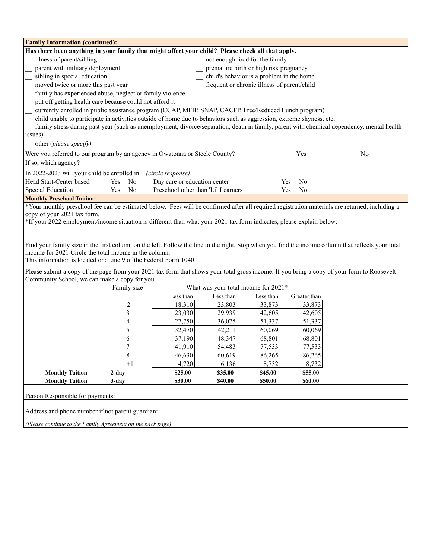| <b>Family Information (continued):</b>                                                                                                             |                       |                                    |                                      |                                             |                |                                                                                                                                           |  |  |  |
|----------------------------------------------------------------------------------------------------------------------------------------------------|-----------------------|------------------------------------|--------------------------------------|---------------------------------------------|----------------|-------------------------------------------------------------------------------------------------------------------------------------------|--|--|--|
| Has there been anything in your family that might affect your child? Please check all that apply.                                                  |                       |                                    |                                      |                                             |                |                                                                                                                                           |  |  |  |
| illness of parent/sibling<br>_ not enough food for the family                                                                                      |                       |                                    |                                      |                                             |                |                                                                                                                                           |  |  |  |
| parent with military deployment                                                                                                                    |                       |                                    |                                      | _ premature birth or high risk pregnancy    |                |                                                                                                                                           |  |  |  |
| sibling in special education<br>$\mathbb{L}^+$                                                                                                     |                       |                                    |                                      | child's behavior is a problem in the home   |                |                                                                                                                                           |  |  |  |
| moved twice or more this past year                                                                                                                 |                       |                                    |                                      | frequent or chronic illness of parent/child |                |                                                                                                                                           |  |  |  |
| family has experienced abuse, neglect or family violence                                                                                           |                       |                                    |                                      |                                             |                |                                                                                                                                           |  |  |  |
| put off getting health care because could not afford it                                                                                            |                       |                                    |                                      |                                             |                |                                                                                                                                           |  |  |  |
| currently enrolled in public assistance program (CCAP, MFIP, SNAP, CACFP, Free/Reduced Lunch program)                                              |                       |                                    |                                      |                                             |                |                                                                                                                                           |  |  |  |
| child unable to participate in activities outside of home due to behaviors such as aggression, extreme shyness, etc.                               |                       |                                    |                                      |                                             |                |                                                                                                                                           |  |  |  |
|                                                                                                                                                    |                       |                                    |                                      |                                             |                | family stress during past year (such as unemployment, divorce/separation, death in family, parent with chemical dependency, mental health |  |  |  |
| issues)                                                                                                                                            |                       |                                    |                                      |                                             |                |                                                                                                                                           |  |  |  |
| other (please specify)                                                                                                                             |                       |                                    |                                      |                                             |                |                                                                                                                                           |  |  |  |
| Were you referred to our program by an agency in Owatonna or Steele County?                                                                        |                       |                                    |                                      |                                             | Yes            | N <sub>0</sub>                                                                                                                            |  |  |  |
| If so, which agency?                                                                                                                               |                       |                                    |                                      |                                             |                |                                                                                                                                           |  |  |  |
| In 2022-2023 will your child be enrolled in : (circle response)                                                                                    |                       |                                    |                                      |                                             |                |                                                                                                                                           |  |  |  |
| Head Start-Center based                                                                                                                            | N <sub>0</sub><br>Yes | Day care or education center       |                                      | Yes                                         | N <sub>0</sub> |                                                                                                                                           |  |  |  |
| <b>Special Education</b>                                                                                                                           | Yes<br>N <sub>0</sub> | Preschool other than 'Lil Learners |                                      | Yes                                         | No             |                                                                                                                                           |  |  |  |
| <b>Monthly Preschool Tuition:</b>                                                                                                                  |                       |                                    |                                      |                                             |                |                                                                                                                                           |  |  |  |
| *Your monthly preschool fee can be estimated below. Fees will be confirmed after all required registration materials are returned, including a     |                       |                                    |                                      |                                             |                |                                                                                                                                           |  |  |  |
| copy of your 2021 tax form.                                                                                                                        |                       |                                    |                                      |                                             |                |                                                                                                                                           |  |  |  |
| *If your 2022 employment/income situation is different than what your 2021 tax form indicates, please explain below:                               |                       |                                    |                                      |                                             |                |                                                                                                                                           |  |  |  |
|                                                                                                                                                    |                       |                                    |                                      |                                             |                |                                                                                                                                           |  |  |  |
| Find your family size in the first column on the left. Follow the line to the right. Stop when you find the income column that reflects your total |                       |                                    |                                      |                                             |                |                                                                                                                                           |  |  |  |
| income for 2021 Circle the total income in the column.                                                                                             |                       |                                    |                                      |                                             |                |                                                                                                                                           |  |  |  |
| This information is located on: Line 9 of the Federal Form 1040                                                                                    |                       |                                    |                                      |                                             |                |                                                                                                                                           |  |  |  |
| Please submit a copy of the page from your 2021 tax form that shows your total gross income. If you bring a copy of your form to Roosevelt         |                       |                                    |                                      |                                             |                |                                                                                                                                           |  |  |  |
| Community School, we can make a copy for you.                                                                                                      |                       |                                    |                                      |                                             |                |                                                                                                                                           |  |  |  |
|                                                                                                                                                    | Family size           |                                    | What was your total income for 2021? |                                             |                |                                                                                                                                           |  |  |  |
|                                                                                                                                                    |                       | Less than                          | Less than                            | Less than                                   | Greater than   |                                                                                                                                           |  |  |  |
|                                                                                                                                                    | 2                     | 18,310                             | 23,803                               | 33,873                                      | 33,873         |                                                                                                                                           |  |  |  |
|                                                                                                                                                    | 3                     | 23,030                             | 29,939                               | 42,605                                      | 42,605         |                                                                                                                                           |  |  |  |
|                                                                                                                                                    | 4                     | 27,750                             | 36,075                               | 51,337                                      | 51,337         |                                                                                                                                           |  |  |  |
|                                                                                                                                                    | 5                     | 32,470                             | 42,211                               | 60,069                                      | 60,069         |                                                                                                                                           |  |  |  |
|                                                                                                                                                    | 6                     | 37,190                             | 48,347                               | 68,801                                      | 68,801         |                                                                                                                                           |  |  |  |
|                                                                                                                                                    | 7                     | 41,910                             | 54,483                               | 77,533                                      | 77,533         |                                                                                                                                           |  |  |  |
|                                                                                                                                                    | 8                     | 46,630                             | 60,619                               | 86,265                                      | 86,265         |                                                                                                                                           |  |  |  |
|                                                                                                                                                    | $+1$                  | 4,720                              | 6,136                                | 8,732                                       | 8,732          |                                                                                                                                           |  |  |  |
| <b>Monthly Tuition</b>                                                                                                                             | $2$ -day              | \$25.00                            | \$35.00                              | \$45.00                                     | \$55.00        |                                                                                                                                           |  |  |  |
| <b>Monthly Tuition</b>                                                                                                                             | $3$ -day              | \$30.00                            | \$40.00                              | \$50.00                                     | \$60.00        |                                                                                                                                           |  |  |  |
|                                                                                                                                                    |                       |                                    |                                      |                                             |                |                                                                                                                                           |  |  |  |
| Person Responsible for payments:                                                                                                                   |                       |                                    |                                      |                                             |                |                                                                                                                                           |  |  |  |
| Address and phone number if not parent guardian:                                                                                                   |                       |                                    |                                      |                                             |                |                                                                                                                                           |  |  |  |
| (Please continue to the Family Agreement on the back page)                                                                                         |                       |                                    |                                      |                                             |                |                                                                                                                                           |  |  |  |
|                                                                                                                                                    |                       |                                    |                                      |                                             |                |                                                                                                                                           |  |  |  |